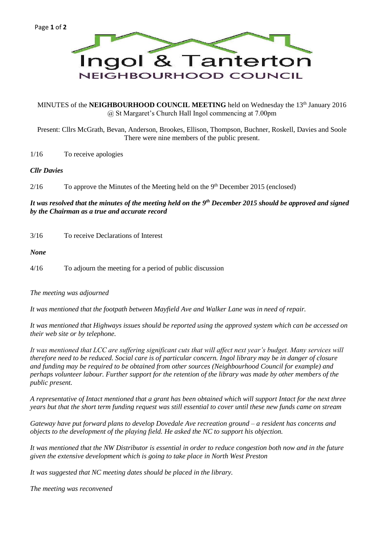

MINUTES of the **NEIGHBOURHOOD COUNCIL MEETING** held on Wednesday the 13<sup>th</sup> January 2016 @ St Margaret's Church Hall Ingol commencing at 7.00pm

Present: Cllrs McGrath, Bevan, Anderson, Brookes, Ellison, Thompson, Buchner, Roskell, Davies and Soole There were nine members of the public present.

1/16 To receive apologies

### *Cllr Davies*

 $2/16$  To approve the Minutes of the Meeting held on the  $9<sup>th</sup>$  December 2015 (enclosed)

*It was resolved that the minutes of the meeting held on the 9th December 2015 should be approved and signed by the Chairman as a true and accurate record*

3/16 To receive Declarations of Interest

*None*

4/16 To adjourn the meeting for a period of public discussion

*The meeting was adjourned*

*It was mentioned that the footpath between Mayfield Ave and Walker Lane was in need of repair.*

*It was mentioned that Highways issues should be reported using the approved system which can be accessed on their web site or by telephone.*

*It was mentioned that LCC are suffering significant cuts that will affect next year's budget. Many services will therefore need to be reduced. Social care is of particular concern. Ingol library may be in danger of closure and funding may be required to be obtained from other sources (Neighbourhood Council for example) and perhaps volunteer labour. Further support for the retention of the library was made by other members of the public present.*

*A representative of Intact mentioned that a grant has been obtained which will support Intact for the next three years but that the short term funding request was still essential to cover until these new funds came on stream*

*Gateway have put forward plans to develop Dovedale Ave recreation ground – a resident has concerns and objects to the development of the playing field. He asked the NC to support his objection.*

*It was mentioned that the NW Distributor is essential in order to reduce congestion both now and in the future given the extensive development which is going to take place in North West Preston*

*It was suggested that NC meeting dates should be placed in the library.*

*The meeting was reconvened*